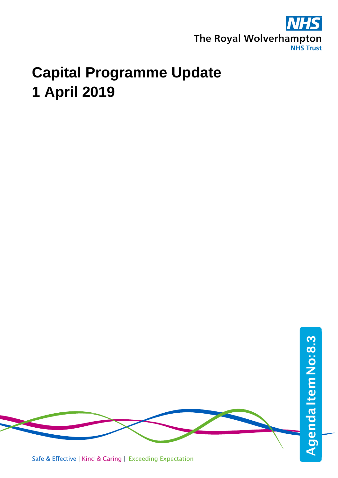

## **Capital Programme Update 1 April 2019**



Safe & Effective | Kind & Caring | Exceeding Expectation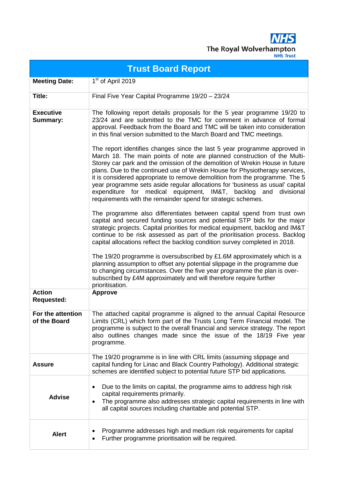**NHS** The Royal Wolverhampton

| <b>Trust Board Report</b>           |                                                                                                                                                                                                                                                                                                                                                                                                                                                                                                                                                                                                                                                                                                                                                                                                                                                                                                                                                                                                                                                                                                                                                                                                                                                                                                                                                                                                                                                                                                                                                                                                                                                      |  |  |  |  |  |
|-------------------------------------|------------------------------------------------------------------------------------------------------------------------------------------------------------------------------------------------------------------------------------------------------------------------------------------------------------------------------------------------------------------------------------------------------------------------------------------------------------------------------------------------------------------------------------------------------------------------------------------------------------------------------------------------------------------------------------------------------------------------------------------------------------------------------------------------------------------------------------------------------------------------------------------------------------------------------------------------------------------------------------------------------------------------------------------------------------------------------------------------------------------------------------------------------------------------------------------------------------------------------------------------------------------------------------------------------------------------------------------------------------------------------------------------------------------------------------------------------------------------------------------------------------------------------------------------------------------------------------------------------------------------------------------------------|--|--|--|--|--|
| <b>Meeting Date:</b>                | 1 <sup>st</sup> of April 2019                                                                                                                                                                                                                                                                                                                                                                                                                                                                                                                                                                                                                                                                                                                                                                                                                                                                                                                                                                                                                                                                                                                                                                                                                                                                                                                                                                                                                                                                                                                                                                                                                        |  |  |  |  |  |
| Title:                              | Final Five Year Capital Programme 19/20 - 23/24                                                                                                                                                                                                                                                                                                                                                                                                                                                                                                                                                                                                                                                                                                                                                                                                                                                                                                                                                                                                                                                                                                                                                                                                                                                                                                                                                                                                                                                                                                                                                                                                      |  |  |  |  |  |
| <b>Executive</b><br><b>Summary:</b> | The following report details proposals for the 5 year programme 19/20 to<br>23/24 and are submitted to the TMC for comment in advance of formal<br>approval. Feedback from the Board and TMC will be taken into consideration<br>in this final version submitted to the March Board and TMC meetings.<br>The report identifies changes since the last 5 year programme approved in<br>March 18. The main points of note are planned construction of the Multi-<br>Storey car park and the omission of the demolition of Wrekin House in future<br>plans. Due to the continued use of Wrekin House for Physiotherapy services,<br>it is considered appropriate to remove demolition from the programme. The 5<br>year programme sets aside regular allocations for 'business as usual' capital<br>expenditure for medical equipment, IM&T, backlog and<br>divisional<br>requirements with the remainder spend for strategic schemes.<br>The programme also differentiates between capital spend from trust own<br>capital and secured funding sources and potential STP bids for the major<br>strategic projects. Capital priorities for medical equipment, backlog and IM&T<br>continue to be risk assessed as part of the prioritisation process. Backlog<br>capital allocations reflect the backlog condition survey completed in 2018.<br>The 19/20 programme is oversubscribed by £1.6M approximately which is a<br>planning assumption to offset any potential slippage in the programme due<br>to changing circumstances. Over the five year programme the plan is over-<br>subscribed by £4M approximately and will therefore require further |  |  |  |  |  |
| <b>Action</b><br><b>Requested:</b>  | prioritisation.<br><b>Approve</b>                                                                                                                                                                                                                                                                                                                                                                                                                                                                                                                                                                                                                                                                                                                                                                                                                                                                                                                                                                                                                                                                                                                                                                                                                                                                                                                                                                                                                                                                                                                                                                                                                    |  |  |  |  |  |
| For the attention<br>of the Board   | The attached capital programme is aligned to the annual Capital Resource<br>Limits (CRL) which form part of the Trusts Long Term Financial model. The<br>programme is subject to the overall financial and service strategy. The report<br>also outlines changes made since the issue of the 18/19 Five year<br>programme.                                                                                                                                                                                                                                                                                                                                                                                                                                                                                                                                                                                                                                                                                                                                                                                                                                                                                                                                                                                                                                                                                                                                                                                                                                                                                                                           |  |  |  |  |  |
| <b>Assure</b>                       | The 19/20 programme is in line with CRL limits (assuming slippage and<br>capital funding for Linac and Black Country Pathology). Additional strategic<br>schemes are identified subject to potential future STP bid applications.                                                                                                                                                                                                                                                                                                                                                                                                                                                                                                                                                                                                                                                                                                                                                                                                                                                                                                                                                                                                                                                                                                                                                                                                                                                                                                                                                                                                                    |  |  |  |  |  |
| <b>Advise</b>                       | Due to the limits on capital, the programme aims to address high risk<br>٠<br>capital requirements primarily.<br>The programme also addresses strategic capital requirements in line with<br>all capital sources including charitable and potential STP.                                                                                                                                                                                                                                                                                                                                                                                                                                                                                                                                                                                                                                                                                                                                                                                                                                                                                                                                                                                                                                                                                                                                                                                                                                                                                                                                                                                             |  |  |  |  |  |
| <b>Alert</b>                        | Programme addresses high and medium risk requirements for capital<br>Further programme prioritisation will be required.                                                                                                                                                                                                                                                                                                                                                                                                                                                                                                                                                                                                                                                                                                                                                                                                                                                                                                                                                                                                                                                                                                                                                                                                                                                                                                                                                                                                                                                                                                                              |  |  |  |  |  |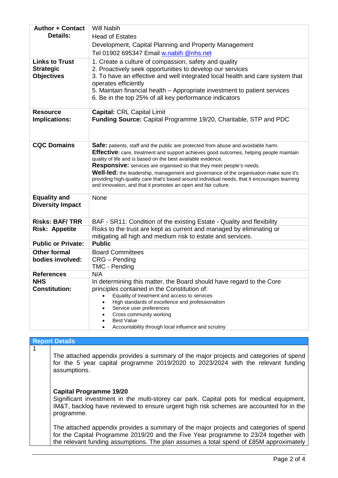| <b>Author + Contact</b><br>Details:                            | <b>Will Nabih</b><br><b>Head of Estates</b><br>Development, Capital Planning and Property Management<br>Tel 01902 695347 Email w.nabih @nhs.net                                                                                                                                                                                                                                                                                                                                                                                                                                         |  |  |  |  |  |
|----------------------------------------------------------------|-----------------------------------------------------------------------------------------------------------------------------------------------------------------------------------------------------------------------------------------------------------------------------------------------------------------------------------------------------------------------------------------------------------------------------------------------------------------------------------------------------------------------------------------------------------------------------------------|--|--|--|--|--|
| <b>Links to Trust</b><br><b>Strategic</b><br><b>Objectives</b> | 1. Create a culture of compassion, safety and quality<br>2. Proactively seek opportunities to develop our services<br>3. To have an effective and well integrated local health and care system that<br>operates efficiently<br>5. Maintain financial health – Appropriate investment to patient services<br>6. Be in the top 25% of all key performance indicators                                                                                                                                                                                                                      |  |  |  |  |  |
| <b>Resource</b><br>Implications:                               | <b>Capital: CRL Capital Limit</b><br><b>Funding Source:</b> Capital Programme 19/20, Charitable, STP and PDC                                                                                                                                                                                                                                                                                                                                                                                                                                                                            |  |  |  |  |  |
| <b>CQC Domains</b>                                             | Safe: patients, staff and the public are protected from abuse and avoidable harm.<br>Effective: care, treatment and support achieves good outcomes, helping people maintain<br>quality of life and is based on the best available evidence.<br><b>Responsive:</b> services are organised so that they meet people's needs.<br>Well-led: the leadership, management and governance of the organisation make sure it's<br>providing high-quality care that's based around individual needs, that it encourages learning<br>and innovation, and that it promotes an open and fair culture. |  |  |  |  |  |
| <b>Equality and</b><br><b>Diversity Impact</b>                 | None                                                                                                                                                                                                                                                                                                                                                                                                                                                                                                                                                                                    |  |  |  |  |  |
| <b>Risks: BAF/TRR</b>                                          | BAF - SR11: Condition of the existing Estate - Quality and flexibility                                                                                                                                                                                                                                                                                                                                                                                                                                                                                                                  |  |  |  |  |  |
| <b>Risk: Appetite</b>                                          | Risks to the trust are kept as current and managed by eliminating or<br>mitigating all high and medium risk to estate and services.                                                                                                                                                                                                                                                                                                                                                                                                                                                     |  |  |  |  |  |
| <b>Public or Private:</b>                                      | <b>Public</b>                                                                                                                                                                                                                                                                                                                                                                                                                                                                                                                                                                           |  |  |  |  |  |
| <b>Other formal</b><br>bodies involved:                        | <b>Board Committees</b><br>CRG - Pending<br>TMC - Pending                                                                                                                                                                                                                                                                                                                                                                                                                                                                                                                               |  |  |  |  |  |
| <b>References</b>                                              | N/A                                                                                                                                                                                                                                                                                                                                                                                                                                                                                                                                                                                     |  |  |  |  |  |
| <b>NHS</b><br><b>Constitution:</b>                             | In determining this matter, the Board should have regard to the Core<br>principles contained in the Constitution of:<br>Equality of treatment and access to services<br>High standards of excellence and professionalism<br>Service user preferences<br>Cross community working<br><b>Best Value</b><br>Accountability through local influence and scrutiny                                                                                                                                                                                                                             |  |  |  |  |  |

| <b>Report Details</b>                                                                                                                                                                                                                                                    |
|--------------------------------------------------------------------------------------------------------------------------------------------------------------------------------------------------------------------------------------------------------------------------|
| The attached appendix provides a summary of the major projects and categories of spend<br>for the 5 year capital programme 2019/2020 to 2023/2024 with the relevant funding<br>assumptions.                                                                              |
| <b>Capital Programme 19/20</b><br>Significant investment in the multi-storey car park. Capital pots for medical equipment,<br>IM&T, backlog have reviewed to ensure urgent high risk schemes are accounted for in the<br>programme.                                      |
| The attached appendix provides a summary of the major projects and categories of spend<br>for the Capital Programme 2019/20 and the Five Year programme to 23/24 together with<br>the relevant funding assumptions. The plan assumes a total spend of £85M approximately |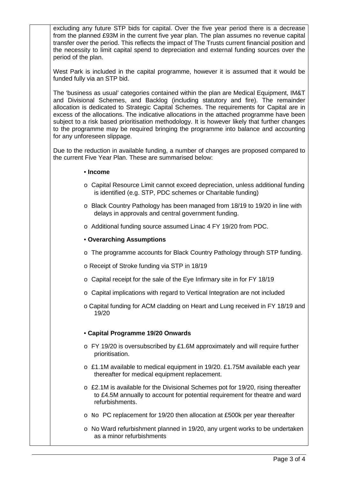excluding any future STP bids for capital. Over the five year period there is a decrease from the planned £93M in the current five year plan. The plan assumes no revenue capital transfer over the period. This reflects the impact of The Trusts current financial position and the necessity to limit capital spend to depreciation and external funding sources over the period of the plan.

West Park is included in the capital programme, however it is assumed that it would be funded fully via an STP bid.

The 'business as usual' categories contained within the plan are Medical Equipment, IM&T and Divisional Schemes, and Backlog (including statutory and fire). The remainder allocation is dedicated to Strategic Capital Schemes. The requirements for Capital are in excess of the allocations. The indicative allocations in the attached programme have been subject to a risk based prioritisation methodology. It is however likely that further changes to the programme may be required bringing the programme into balance and accounting for any unforeseen slippage.

Due to the reduction in available funding, a number of changes are proposed compared to the current Five Year Plan. These are summarised below:

## • **Income**

- o Capital Resource Limit cannot exceed depreciation, unless additional funding is identified (e.g. STP, PDC schemes or Charitable funding)
- o Black Country Pathology has been managed from 18/19 to 19/20 in line with delays in approvals and central government funding.
- o Additional funding source assumed Linac 4 FY 19/20 from PDC.

## • **Overarching Assumptions**

- o The programme accounts for Black Country Pathology through STP funding.
- o Receipt of Stroke funding via STP in 18/19
- o Capital receipt for the sale of the Eye Infirmary site in for FY 18/19
- o Capital implications with regard to Vertical Integration are not included
- o Capital funding for ACM cladding on Heart and Lung received in FY 18/19 and 19/20

## • **Capital Programme 19/20 Onwards**

- o FY 19/20 is oversubscribed by £1.6M approximately and will require further prioritisation.
- o £1.1M available to medical equipment in 19/20. £1.75M available each year thereafter for medical equipment replacement.
- $\circ$  £2.1M is available for the Divisional Schemes pot for 19/20, rising thereafter to £4.5M annually to account for potential requirement for theatre and ward refurbishments.
- o No PC replacement for 19/20 then allocation at £500k per year thereafter
- o No Ward refurbishment planned in 19/20, any urgent works to be undertaken as a minor refurbishments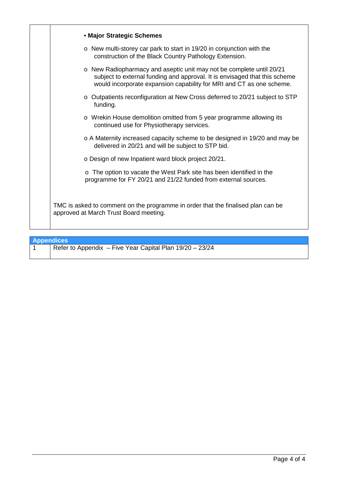| • Major Strategic Schemes                                                                                                                                                                                                  |
|----------------------------------------------------------------------------------------------------------------------------------------------------------------------------------------------------------------------------|
| $\circ$ New multi-storey car park to start in 19/20 in conjunction with the<br>construction of the Black Country Pathology Extension.                                                                                      |
| o New Radiopharmacy and aseptic unit may not be complete until 20/21<br>subject to external funding and approval. It is envisaged that this scheme<br>would incorporate expansion capability for MRI and CT as one scheme. |
| o Outpatients reconfiguration at New Cross deferred to 20/21 subject to STP<br>funding.                                                                                                                                    |
| o Wrekin House demolition omitted from 5 year programme allowing its<br>continued use for Physiotherapy services.                                                                                                          |
| o A Maternity increased capacity scheme to be designed in 19/20 and may be<br>delivered in 20/21 and will be subject to STP bid.                                                                                           |
| o Design of new Inpatient ward block project 20/21.                                                                                                                                                                        |
| o The option to vacate the West Park site has been identified in the<br>programme for FY 20/21 and 21/22 funded from external sources.                                                                                     |
| TMC is asked to comment on the programme in order that the finalised plan can be<br>approved at March Trust Board meeting.                                                                                                 |

| <b>Appendices</b>                                        |
|----------------------------------------------------------|
| Refer to Appendix - Five Year Capital Plan 19/20 - 23/24 |